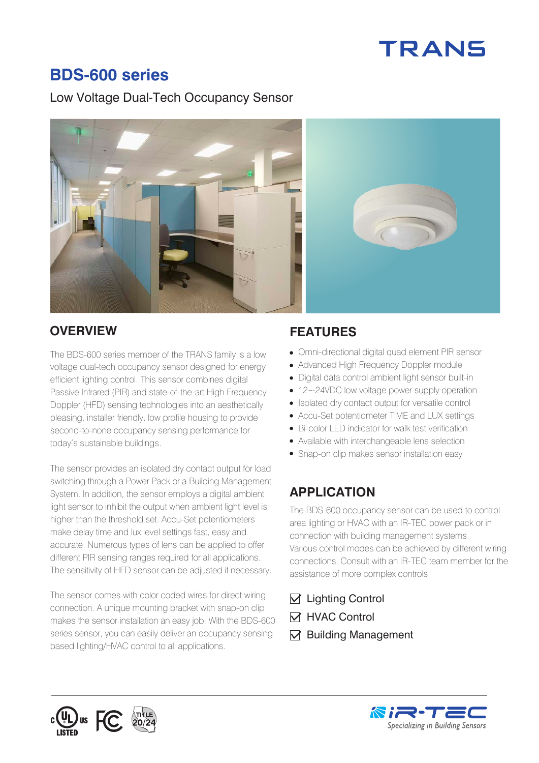# **TRANS**

# **BDS-600 series**

#### Low Voltage Dual-Tech Occupancy Sensor



#### **OVERVIEW FEATURES**

The BDS-600 series member of the TRANS family is a low voltage dual-tech occupancy sensor designed for energy efficient lighting control. This sensor combines digital Passive Infrared (PIR) and state-of-the-art High Frequency Doppler (HFD) sensing technologies into an aesthetically pleasing, installer friendly, low profile housing to provide second-to-none occupancy sensing performance for today's sustainable buildings.

The sensor provides an isolated dry contact output for load switching through a Power Pack or a Building Management System. In addition, the sensor employs a digital ambient light sensor to inhibit the output when ambient light level is higher than the threshold set. Accu-Set potentiometers make delay time and lux level settings fast, easy and accurate. Numerous types of lens can be applied to offer different PIR sensing ranges required for all applications. The sensitivity of HFD sensor can be adjusted if necessary.

The sensor comes with color coded wires for direct wiring connection. A unique mounting bracket with snap-on clip makes the sensor installation an easy job. With the BDS-600 series sensor, you can easily deliver an occupancy sensing based lighting/HVAC control to all applications.

- Omni-directional digital quad element PIR sensor
- Advanced High Frequency Doppler module
- Digital data control ambient light sensor built-in
- 12~24VDC low voltage power supply operation
- Isolated dry contact output for versatile control
- Accu-Set potentiometer TIME and LUX settings
- Bi-color LED indicator for walk test verification
- Available with interchangeable lens selection
- Snap-on clip makes sensor installation easy

# **APPLICATION**

The BDS-600 occupancy sensor can be used to control area lighting or HVAC with an IR-TEC power pack or in connection with building management systems. Various control modes can be achieved by different wiring connections. Consult with an IR-TEC team member for the assistance of more complex controls.

- $\triangledown$  Lighting Control
- **M** HVAC Control
- $\nabla$  Building Management